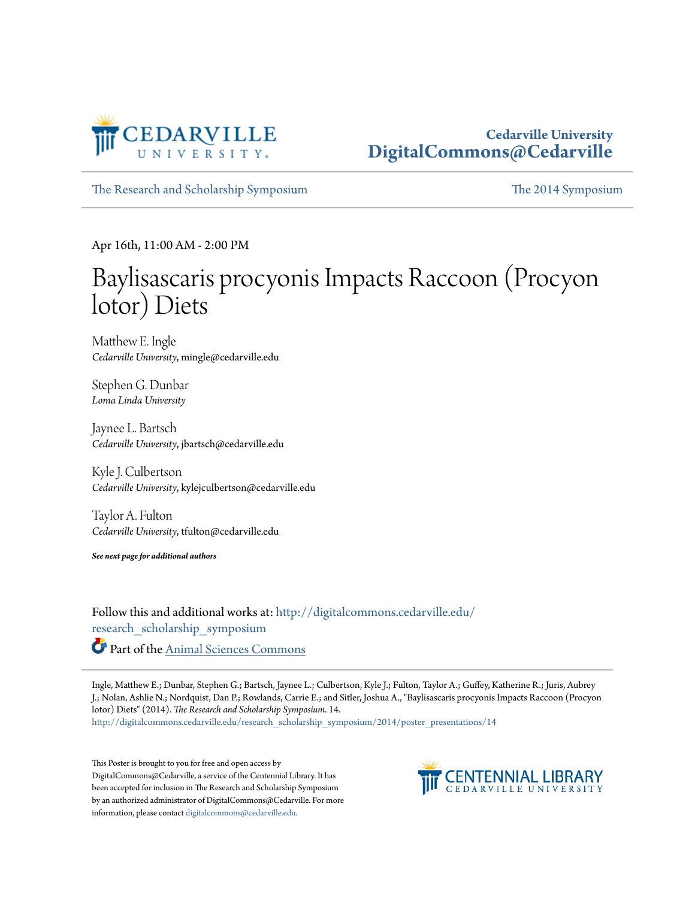

#### **Cedarville University [DigitalCommons@Cedarville](http://digitalcommons.cedarville.edu?utm_source=digitalcommons.cedarville.edu%2Fresearch_scholarship_symposium%2F2014%2Fposter_presentations%2F14&utm_medium=PDF&utm_campaign=PDFCoverPages)**

[The Research and Scholarship Symposium](http://digitalcommons.cedarville.edu/research_scholarship_symposium?utm_source=digitalcommons.cedarville.edu%2Fresearch_scholarship_symposium%2F2014%2Fposter_presentations%2F14&utm_medium=PDF&utm_campaign=PDFCoverPages) [The 2014 Symposium](http://digitalcommons.cedarville.edu/research_scholarship_symposium/2014?utm_source=digitalcommons.cedarville.edu%2Fresearch_scholarship_symposium%2F2014%2Fposter_presentations%2F14&utm_medium=PDF&utm_campaign=PDFCoverPages)

Apr 16th, 11:00 AM - 2:00 PM

#### Baylisascaris procyonis Impacts Raccoon (Procyon lotor) Diets

Matthew E. Ingle *Cedarville University*, mingle@cedarville.edu

Stephen G. Dunbar *Loma Linda University*

Jaynee L. Bartsch *Cedarville University*, jbartsch@cedarville.edu

Kyle J. Culbertson *Cedarville University*, kylejculbertson@cedarville.edu

Taylor A. Fulton *Cedarville University*, tfulton@cedarville.edu

*See next page for additional authors*

Follow this and additional works at: [http://digitalcommons.cedarville.edu/](http://digitalcommons.cedarville.edu/research_scholarship_symposium?utm_source=digitalcommons.cedarville.edu%2Fresearch_scholarship_symposium%2F2014%2Fposter_presentations%2F14&utm_medium=PDF&utm_campaign=PDFCoverPages) [research\\_scholarship\\_symposium](http://digitalcommons.cedarville.edu/research_scholarship_symposium?utm_source=digitalcommons.cedarville.edu%2Fresearch_scholarship_symposium%2F2014%2Fposter_presentations%2F14&utm_medium=PDF&utm_campaign=PDFCoverPages) Part of the [Animal Sciences Commons](http://network.bepress.com/hgg/discipline/76?utm_source=digitalcommons.cedarville.edu%2Fresearch_scholarship_symposium%2F2014%2Fposter_presentations%2F14&utm_medium=PDF&utm_campaign=PDFCoverPages)

Ingle, Matthew E.; Dunbar, Stephen G.; Bartsch, Jaynee L.; Culbertson, Kyle J.; Fulton, Taylor A.; Guffey, Katherine R.; Juris, Aubrey J.; Nolan, Ashlie N.; Nordquist, Dan P.; Rowlands, Carrie E.; and Sitler, Joshua A., "Baylisascaris procyonis Impacts Raccoon (Procyon lotor) Diets" (2014). *The Research and Scholarship Symposium*. 14. [http://digitalcommons.cedarville.edu/research\\_scholarship\\_symposium/2014/poster\\_presentations/14](http://digitalcommons.cedarville.edu/research_scholarship_symposium/2014/poster_presentations/14?utm_source=digitalcommons.cedarville.edu%2Fresearch_scholarship_symposium%2F2014%2Fposter_presentations%2F14&utm_medium=PDF&utm_campaign=PDFCoverPages)

This Poster is brought to you for free and open access by DigitalCommons@Cedarville, a service of the Centennial Library. It has been accepted for inclusion in The Research and Scholarship Symposium by an authorized administrator of DigitalCommons@Cedarville. For more information, please contact [digitalcommons@cedarville.edu.](mailto:digitalcommons@cedarville.edu)

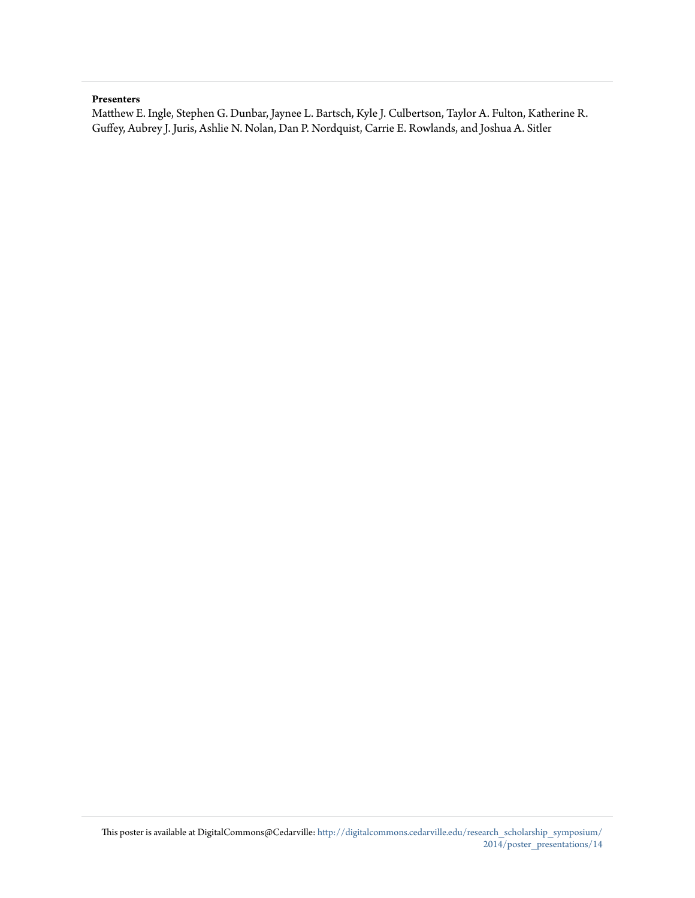#### **Presenters**

Matthew E. Ingle, Stephen G. Dunbar, Jaynee L. Bartsch, Kyle J. Culbertson, Taylor A. Fulton, Katherine R. Guffey, Aubrey J. Juris, Ashlie N. Nolan, Dan P. Nordquist, Carrie E. Rowlands, and Joshua A. Sitler